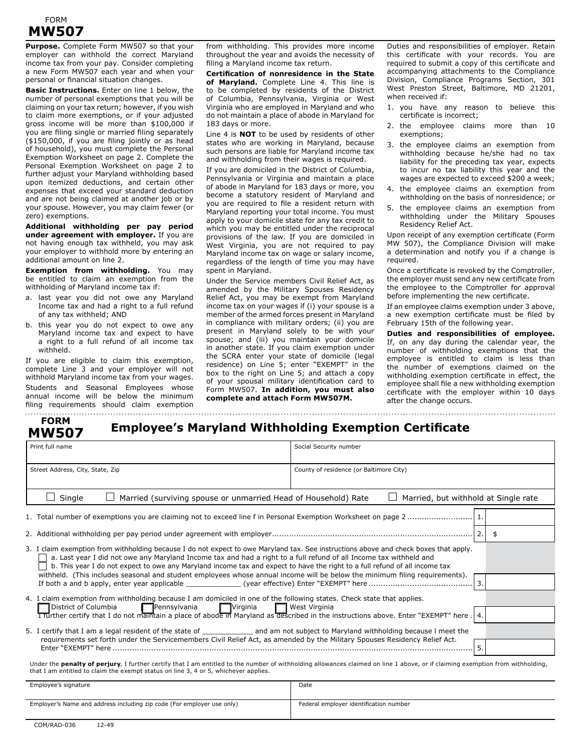## FORM **MW507**

**Purpose.** Complete Form MW507 so that your employer can withhold the correct Maryland income tax from your pay. Consider completing a new Form MW507 each year and when your personal or financial situation changes.

**Basic Instructions.** Enter on line 1 below, the number of personal exemptions that you will be claiming on your tax return; however, if you wish to claim more exemptions, or if your adjusted gross income will be more than \$100,000 if you are filing single or married filing separately (\$150,000, if you are filing jointly or as head of household), you must complete the Personal Exemption Worksheet on page 2. Complete the Personal Exemption Worksheet on page 2 to further adjust your Maryland withholding based upon itemized deductions, and certain other expenses that exceed your standard deduction and are not being claimed at another job or by your spouse. However, you may claim fewer (or zero) exemptions.

**Additional withholding per pay period under agreement with employer.** If you are not having enough tax withheld, you may ask your employer to withhold more by entering an additional amount on line 2.

**Exemption from withholding.** You may be entitled to claim an exemption from the withholding of Maryland income tax if:

- a. last year you did not owe any Maryland Income tax and had a right to a full refund of any tax withheld; AND
- b. this year you do not expect to owe any Maryland income tax and expect to have a right to a full refund of all income tax withheld.

If you are eligible to claim this exemption, complete Line 3 and your employer will not withhold Maryland income tax from your wages. Students and Seasonal Employees whose annual income will be below the minimum filing requirements should claim exemption

**MW507**

from withholding. This provides more income throughout the year and avoids the necessity of filing a Maryland income tax return.

**Certification of nonresidence in the State of Maryland.** Complete Line 4. This line is to be completed by residents of the District of Columbia, Pennsylvania, Virginia or West Virginia who are employed in Maryland and who do not maintain a place of abode in Maryland for 183 days or more.

Line 4 is **NOT** to be used by residents of other states who are working in Maryland, because such persons are liable for Maryland income tax and withholding from their wages is required.

If you are domiciled in the District of Columbia, Pennsylvania or Virginia and maintain a place of abode in Maryland for 183 days or more, you become a statutory resident of Maryland and you are required to file a resident return with Maryland reporting your total income. You must apply to your domicile state for any tax credit to which you may be entitled under the reciprocal provisions of the law. If you are domiciled in West Virginia, you are not required to pay Maryland income tax on wage or salary income, regardless of the length of time you may have spent in Maryland.

Under the Service members Civil Relief Act, as amended by the Military Spouses Residency Relief Act, you may be exempt from Maryland income tax on your wages if (i) your spouse is a member of the armed forces present in Maryland in compliance with military orders; (ii) you are present in Maryland solely to be with your spouse; and (iii) you maintain your domicile in another state. If you claim exemption under the SCRA enter your state of domicile (legal residence) on Line 5; enter "EXEMPT" in the box to the right on Line 5; and attach a copy of your spousal military identification card to Form MW507. **In addition, you must also complete and attach Form MW507M.**

Duties and responsibilities of employer. Retain this certificate with your records. You are required to submit a copy of this certificate and accompanying attachments to the Compliance Division, Compliance Programs Section, 301 West Preston Street, Baltimore, MD 21201, when received if:

- 1. you have any reason to believe this certificate is incorrect;
- 2. the employee claims more than 10 exemptions;
- 3. the employee claims an exemption from withholding because he/she had no tax liability for the preceding tax year, expects to incur no tax liability this year and the wages are expected to exceed \$200 a week;
- 4. the employee claims an exemption from withholding on the basis of nonresidence; or
- 5. the employee claims an exemption from withholding under the Military Spouses Residency Relief Act.

Upon receipt of any exemption certificate (Form MW 507), the Compliance Division will make a determination and notify you if a change is required.

Once a certificate is revoked by the Comptroller, the employer must send any new certificate from the employee to the Comptroller for approval before implementing the new certificate.

If an employee claims exemption under 3 above, a new exemption certificate must be filed by February 15th of the following year.

**Duties and responsibilities of employee.** If, on any day during the calendar year, the number of withholding exemptions that the employee is entitled to claim is less than the number of exemptions claimed on the withholding exemption certificate in effect, the employee shall file a new withholding exemption certificate with the employer within 10 days after the change occurs.

# **EORM**<br>**WIEOZER** Employee's Maryland Withholding Exemption Certificate

| Print full name                                                                                                                                                                                                                                                                                                                                                                            | Social Security number                      |  |  |  |  |
|--------------------------------------------------------------------------------------------------------------------------------------------------------------------------------------------------------------------------------------------------------------------------------------------------------------------------------------------------------------------------------------------|---------------------------------------------|--|--|--|--|
| Street Address, City, State, Zip                                                                                                                                                                                                                                                                                                                                                           | County of residence (or Baltimore City)     |  |  |  |  |
| Single<br>Married (surviving spouse or unmarried Head of Household) Rate                                                                                                                                                                                                                                                                                                                   | $\Box$ Married, but withhold at Single rate |  |  |  |  |
|                                                                                                                                                                                                                                                                                                                                                                                            |                                             |  |  |  |  |
|                                                                                                                                                                                                                                                                                                                                                                                            | - \$                                        |  |  |  |  |
| 3. I claim exemption from withholding because I do not expect to owe Maryland tax. See instructions above and check boxes that apply.<br>a. Last year I did not owe any Maryland Income tax and had a right to a full refund of all Income tax withheld and<br>b. This year I do not expect to owe any Maryland income tax and expect to have the right to a full refund of all income tax |                                             |  |  |  |  |
| withheld. (This includes seasonal and student employees whose annual income will be below the minimum filing requirements).                                                                                                                                                                                                                                                                |                                             |  |  |  |  |
| 4. I claim exemption from withholding because I am domiciled in one of the following states. Check state that applies.<br>$\Box$ Virginia<br><b>■Pennsylvania</b><br>District of Columbia                                                                                                                                                                                                  | West Virginia                               |  |  |  |  |
| .4. Trurther certify that I do not maintain a place of abode in Maryland as described in the instructions above. Enter "EXEMPT" here . 4.                                                                                                                                                                                                                                                  |                                             |  |  |  |  |
| 5. I certify that I am a legal resident of the state of _______________ and am not subject to Maryland withholding because I meet the                                                                                                                                                                                                                                                      |                                             |  |  |  |  |
| requirements set forth under the Servicemembers Civil Relief Act, as amended by the Military Spouses Residency Relief Act.                                                                                                                                                                                                                                                                 | 5.                                          |  |  |  |  |
| Under the penalty of perjury, I further certify that I am entitled to the number of withholding allowances claimed on line 1 above, or if claiming exemption from withholding,<br>that I am entitled to claim the exempt status on line 3, 4 or 5, whichever applies.                                                                                                                      |                                             |  |  |  |  |

| Employee's signature                                                   | Date                                   |
|------------------------------------------------------------------------|----------------------------------------|
| Employer's Name and address including zip code (For employer use only) | Federal employer identification number |